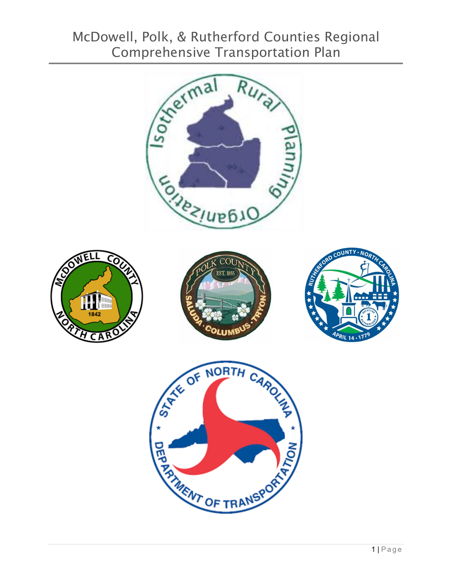# McDowell, Polk, & Rutherford Counties Regional

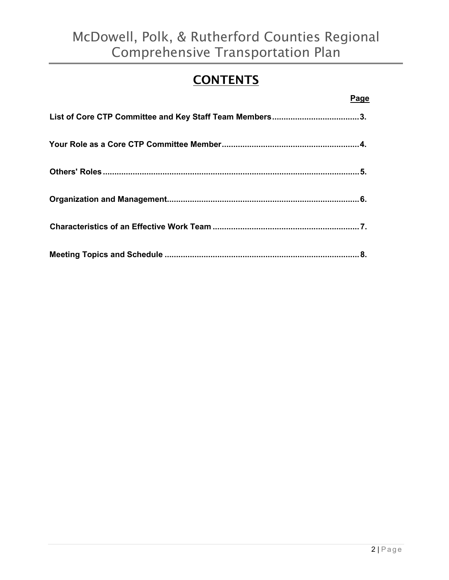## **CONTENTS**

|--|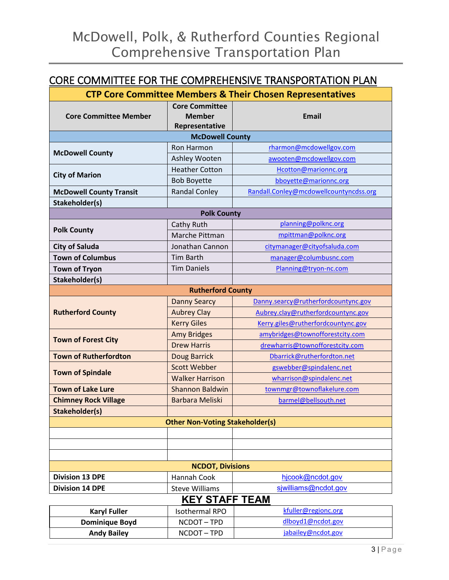## CORE COMMITTEE FOR THE COMPREHENSIVE TRANSPORTATION PLAN

| <b>CTP Core Committee Members &amp; Their Chosen Representatives</b> |                                                          |                                        |  |  |
|----------------------------------------------------------------------|----------------------------------------------------------|----------------------------------------|--|--|
| <b>Core Committee Member</b>                                         | <b>Core Committee</b><br><b>Member</b><br>Representative | <b>Email</b>                           |  |  |
| <b>McDowell County</b>                                               |                                                          |                                        |  |  |
| <b>McDowell County</b>                                               | Ron Harmon                                               | rharmon@mcdowellgov.com                |  |  |
|                                                                      | Ashley Wooten                                            | awooten@mcdowellgov.com                |  |  |
| <b>City of Marion</b>                                                | <b>Heather Cotton</b>                                    | Hcotton@marionnc.org                   |  |  |
|                                                                      | <b>Bob Boyette</b>                                       | bboyette@marionnc.org                  |  |  |
| <b>McDowell County Transit</b>                                       | <b>Randal Conley</b>                                     | Randall.Conley@mcdowellcountyncdss.org |  |  |
| Stakeholder(s)                                                       |                                                          |                                        |  |  |
| <b>Polk County</b>                                                   |                                                          |                                        |  |  |
| <b>Polk County</b>                                                   | Cathy Ruth                                               | planning@polknc.org                    |  |  |
|                                                                      | Marche Pittman                                           | mpittman@polknc.org                    |  |  |
| <b>City of Saluda</b>                                                | Jonathan Cannon                                          | citymanager@cityofsaluda.com           |  |  |
| <b>Town of Columbus</b>                                              | <b>Tim Barth</b>                                         | manager@columbusnc.com                 |  |  |
| <b>Town of Tryon</b>                                                 | <b>Tim Daniels</b>                                       | Planning@tryon-nc.com                  |  |  |
| Stakeholder(s)                                                       |                                                          |                                        |  |  |
| <b>Rutherford County</b>                                             |                                                          |                                        |  |  |
| <b>Rutherford County</b>                                             | <b>Danny Searcy</b>                                      | Danny.searcy@rutherfordcountync.gov    |  |  |
|                                                                      | <b>Aubrey Clay</b>                                       | Aubrey.clay@rutherfordcountync.gov     |  |  |
|                                                                      | <b>Kerry Giles</b>                                       | Kerry.giles@rutherfordcountync.gov     |  |  |
| <b>Town of Forest City</b>                                           | <b>Amy Bridges</b>                                       | amybridges@townofforestcity.com        |  |  |
|                                                                      | <b>Drew Harris</b>                                       | drewharris@townofforestcity.com        |  |  |
| <b>Town of Rutherfordton</b>                                         | Doug Barrick                                             | Dbarrick@rutherfordton.net             |  |  |
| <b>Town of Spindale</b>                                              | <b>Scott Webber</b>                                      | gswebber@spindalenc.net                |  |  |
|                                                                      | <b>Walker Harrison</b>                                   | wharrison@spindalenc.net               |  |  |
| <b>Town of Lake Lure</b>                                             | Shannon Baldwin                                          | townmgr@townoflakelure.com             |  |  |
| <b>Chimney Rock Village</b>                                          | <b>Barbara Meliski</b>                                   | barmel@bellsouth.net                   |  |  |
| Stakeholder(s)                                                       |                                                          |                                        |  |  |
| <b>Other Non-Voting Stakeholder(s)</b>                               |                                                          |                                        |  |  |
|                                                                      |                                                          |                                        |  |  |
|                                                                      |                                                          |                                        |  |  |
|                                                                      |                                                          |                                        |  |  |
| <b>NCDOT, Divisions</b>                                              |                                                          |                                        |  |  |
| <b>Division 13 DPE</b>                                               | Hannah Cook                                              | hjcook@ncdot.gov                       |  |  |
| <b>Division 14 DPE</b>                                               | <b>Steve Williams</b>                                    | siwilliams@ncdot.gov                   |  |  |
| <b>KEY STAFF TEAM</b>                                                |                                                          |                                        |  |  |
| <b>Karyl Fuller</b>                                                  | <b>Isothermal RPO</b>                                    | kfuller@regionc.org                    |  |  |
| <b>Dominique Boyd</b>                                                | NCDOT-TPD                                                | dlboyd1@ncdot.gov                      |  |  |
| <b>Andy Bailey</b>                                                   | NCDOT-TPD                                                | jabailey@ncdot.gov                     |  |  |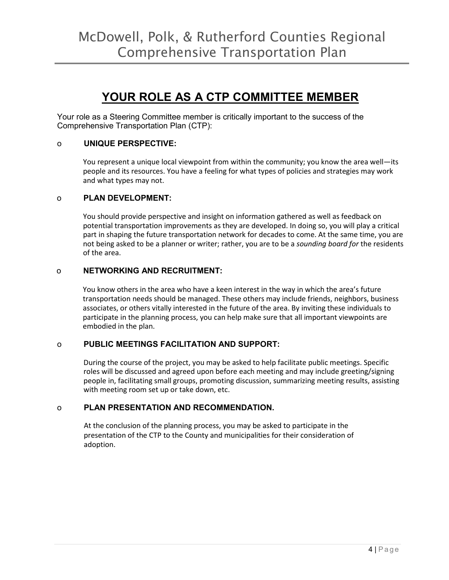## **YOUR ROLE AS A CTP COMMITTEE MEMBER**

Your role as a Steering Committee member is critically important to the success of the Comprehensive Transportation Plan (CTP):

#### o **UNIQUE PERSPECTIVE:**

You represent a unique local viewpoint from within the community; you know the area well—its people and its resources. You have a feeling for what types of policies and strategies may work and what types may not.

#### o **PLAN DEVELOPMENT:**

You should provide perspective and insight on information gathered as well as feedback on potential transportation improvements as they are developed. In doing so, you will play a critical part in shaping the future transportation network for decades to come. At the same time, you are not being asked to be a planner or writer; rather, you are to be a *sounding board for* the residents of the area.

#### o **NETWORKING AND RECRUITMENT:**

You know others in the area who have a keen interest in the way in which the area's future transportation needs should be managed. These others may include friends, neighbors, business associates, or others vitally interested in the future of the area. By inviting these individuals to participate in the planning process, you can help make sure that all important viewpoints are embodied in the plan.

#### o **PUBLIC MEETINGS FACILITATION AND SUPPORT:**

During the course of the project, you may be asked to help facilitate public meetings. Specific roles will be discussed and agreed upon before each meeting and may include greeting/signing people in, facilitating small groups, promoting discussion, summarizing meeting results, assisting with meeting room set up or take down, etc.

#### o **PLAN PRESENTATION AND RECOMMENDATION.**

At the conclusion of the planning process, you may be asked to participate in the presentation of the CTP to the County and municipalities for their consideration of adoption.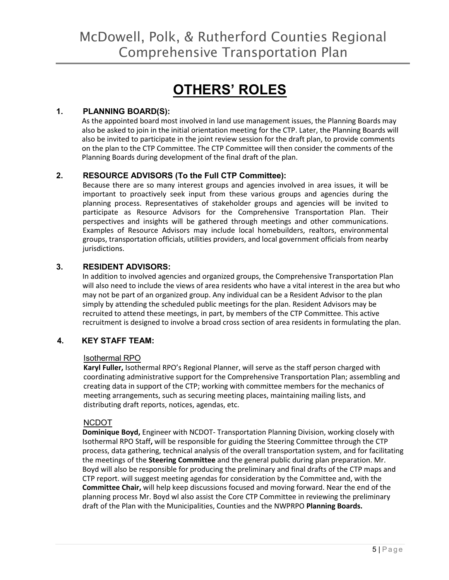# **OTHERS' ROLES**

#### **1. PLANNING BOARD(S):**

As the appointed board most involved in land use management issues, the Planning Boards may also be asked to join in the initial orientation meeting for the CTP. Later, the Planning Boards will also be invited to participate in the joint review session for the draft plan, to provide comments on the plan to the CTP Committee. The CTP Committee will then consider the comments of the Planning Boards during development of the final draft of the plan.

#### **2. RESOURCE ADVISORS (To the Full CTP Committee):**

Because there are so many interest groups and agencies involved in area issues, it will be important to proactively seek input from these various groups and agencies during the planning process. Representatives of stakeholder groups and agencies will be invited to participate as Resource Advisors for the Comprehensive Transportation Plan. Their perspectives and insights will be gathered through meetings and other communications. Examples of Resource Advisors may include local homebuilders, realtors, environmental groups, transportation officials, utilities providers, and local government officials from nearby jurisdictions.

#### **3. RESIDENT ADVISORS:**

In addition to involved agencies and organized groups, the Comprehensive Transportation Plan will also need to include the views of area residents who have a vital interest in the area but who may not be part of an organized group. Any individual can be a Resident Advisor to the plan simply by attending the scheduled public meetings for the plan. Resident Advisors may be recruited to attend these meetings, in part, by members of the CTP Committee. This active recruitment is designed to involve a broad cross section of area residents in formulating the plan.

#### **4. KEY STAFF TEAM:**

#### Isothermal RPO

**Karyl Fuller,** Isothermal RPO's Regional Planner, will serve as the staff person charged with coordinating administrative support for the Comprehensive Transportation Plan; assembling and creating data in support of the CTP; working with committee members for the mechanics of meeting arrangements, such as securing meeting places, maintaining mailing lists, and distributing draft reports, notices, agendas, etc.

#### NCDOT

**Dominique Boyd,** Engineer with NCDOT- Transportation Planning Division, working closely with Isothermal RPO Staff**,** will be responsible for guiding the Steering Committee through the CTP process, data gathering, technical analysis of the overall transportation system, and for facilitating the meetings of the **Steering Committee** and the general public during plan preparation. Mr. Boyd will also be responsible for producing the preliminary and final drafts of the CTP maps and CTP report. will suggest meeting agendas for consideration by the Committee and, with the **Committee Chair,** will help keep discussions focused and moving forward. Near the end of the planning process Mr. Boyd wl also assist the Core CTP Committee in reviewing the preliminary draft of the Plan with the Municipalities, Counties and the NWPRPO **Planning Boards.**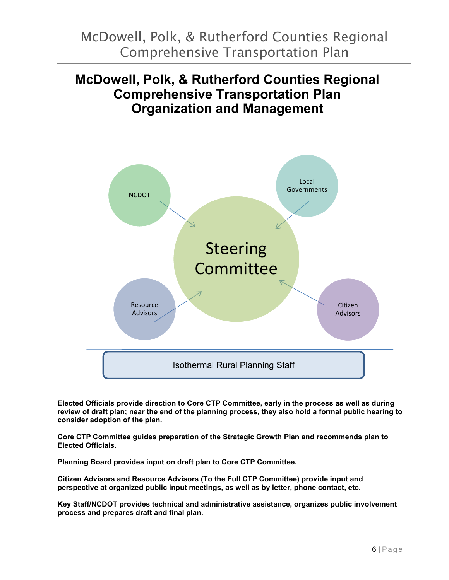## **McDowell, Polk, & Rutherford Counties Regional Comprehensive Transportation Plan Organization and Management**



**Elected Officials provide direction to Core CTP Committee, early in the process as well as during review of draft plan; near the end of the planning process, they also hold a formal public hearing to consider adoption of the plan.**

**Core CTP Committee guides preparation of the Strategic Growth Plan and recommends plan to Elected Officials.**

**Planning Board provides input on draft plan to Core CTP Committee.**

**Citizen Advisors and Resource Advisors (To the Full CTP Committee) provide input and perspective at organized public input meetings, as well as by letter, phone contact, etc.**

**Key Staff/NCDOT provides technical and administrative assistance, organizes public involvement process and prepares draft and final plan.**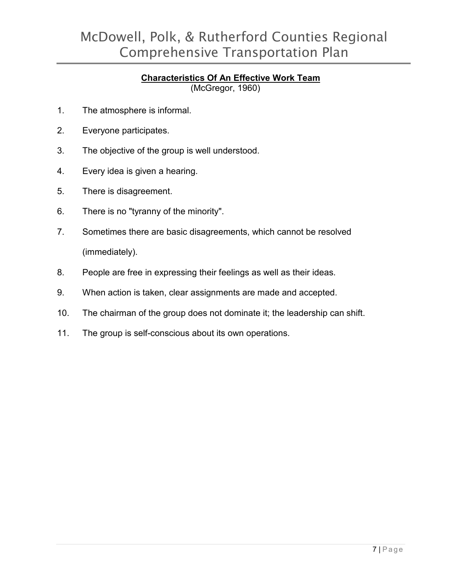## McDowell, Polk, & Rutherford Counties Regional Comprehensive Transportation Plan

## **Characteristics Of An Effective Work Team**

(McGregor, 1960)

- 1. The atmosphere is informal.
- 2. Everyone participates.
- 3. The objective of the group is well understood.
- 4. Every idea is given a hearing.
- 5. There is disagreement.
- 6. There is no "tyranny of the minority".
- 7. Sometimes there are basic disagreements, which cannot be resolved (immediately).
- 8. People are free in expressing their feelings as well as their ideas.
- 9. When action is taken, clear assignments are made and accepted.
- 10. The chairman of the group does not dominate it; the leadership can shift.
- 11. The group is self-conscious about its own operations.